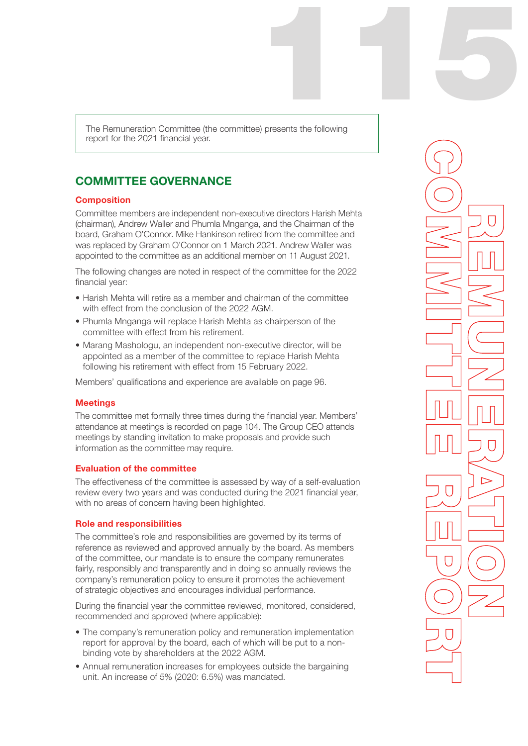115 The Remuneration Committee (the committee) presents the following report for the 2021 financial year.

# COMMITTEE GOVERNANCE

#### **Composition**

Committee members are independent non-executive directors Harish Mehta (chairman), Andrew Waller and Phumla Mnganga, and the Chairman of the board, Graham O'Connor. Mike Hankinson retired from the committee and was replaced by Graham O'Connor on 1 March 2021. Andrew Waller was appointed to the committee as an additional member on 11 August 2021.

The following changes are noted in respect of the committee for the 2022 financial year:

- Harish Mehta will retire as a member and chairman of the committee with effect from the conclusion of the 2022 AGM
- Phumla Mnganga will replace Harish Mehta as chairperson of the committee with effect from his retirement.
- Marang Mashologu, an independent non-executive director, will be appointed as a member of the committee to replace Harish Mehta following his retirement with effect from 15 February 2022.

Members' qualifications and experience are available on page 96.

#### **Meetings**

The committee met formally three times during the financial year. Members' attendance at meetings is recorded on page 104. The Group CEO attends meetings by standing invitation to make proposals and provide such information as the committee may require.

#### Evaluation of the committee

The effectiveness of the committee is assessed by way of a self-evaluation review every two years and was conducted during the 2021 financial year, with no areas of concern having been highlighted.

#### Role and responsibilities

The committee's role and responsibilities are governed by its terms of reference as reviewed and approved annually by the board. As members of the committee, our mandate is to ensure the company remunerates fairly, responsibly and transparently and in doing so annually reviews the company's remuneration policy to ensure it promotes the achievement of strategic objectives and encourages individual performance.

During the financial year the committee reviewed, monitored, considered, recommended and approved (where applicable):

- The company's remuneration policy and remuneration implementation report for approval by the board, each of which will be put to a nonbinding vote by shareholders at the 2022 AGM.
- Annual remuneration increases for employees outside the bargaining unit. An increase of 5% (2020: 6.5%) was mandated.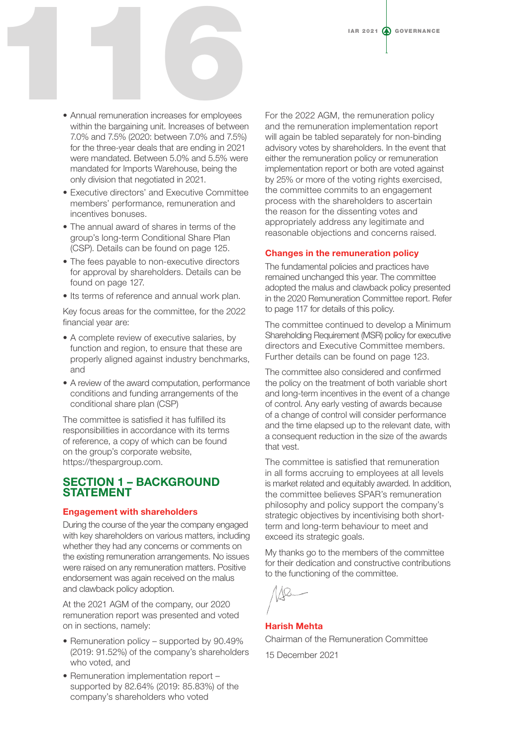- Annual remuneration increases for employees within the bargaining unit. Increases of between 7.0% and 7.5% (2020: between 7.0% and 7.5%) for the three-year deals that are ending in 2021 were mandated. Between 5.0% and 5.5% were mandated for Imports Warehouse, being the only division that negotiated in 2021. IAR 2021 @ QUERNANCE
	- Executive directors' and Executive Committee members' performance, remuneration and incentives bonuses.
	- The annual award of shares in terms of the group's long-term Conditional Share Plan (CSP). Details can be found on page 125.
	- The fees payable to non-executive directors for approval by shareholders. Details can be found on page 127.
	- Its terms of reference and annual work plan.

Key focus areas for the committee, for the 2022 financial year are:

- A complete review of executive salaries, by function and region, to ensure that these are properly aligned against industry benchmarks, and
- A review of the award computation, performance conditions and funding arrangements of the conditional share plan (CSP)

The committee is satisfied it has fulfilled its responsibilities in accordance with its terms of reference, a copy of which can be found on the group's corporate website, https://thespargroup.com.

## SECTION 1 – BACKGROUND STATEMENT

#### Engagement with shareholders

During the course of the year the company engaged with key shareholders on various matters, including whether they had any concerns or comments on the existing remuneration arrangements. No issues were raised on any remuneration matters. Positive endorsement was again received on the malus and clawback policy adoption.

At the 2021 AGM of the company, our 2020 remuneration report was presented and voted on in sections, namely:

- Remuneration policy supported by 90.49% (2019: 91.52%) of the company's shareholders who voted, and
- Remuneration implementation report supported by 82.64% (2019: 85.83%) of the company's shareholders who voted

For the 2022 AGM, the remuneration policy and the remuneration implementation report will again be tabled separately for non-binding advisory votes by shareholders. In the event that either the remuneration policy or remuneration implementation report or both are voted against by 25% or more of the voting rights exercised, the committee commits to an engagement process with the shareholders to ascertain the reason for the dissenting votes and appropriately address any legitimate and reasonable objections and concerns raised.

#### Changes in the remuneration policy

The fundamental policies and practices have remained unchanged this year. The committee adopted the malus and clawback policy presented in the 2020 Remuneration Committee report. Refer to page 117 for details of this policy.

The committee continued to develop a Minimum Shareholding Requirement (MSR) policy for executive directors and Executive Committee members. Further details can be found on page 123.

The committee also considered and confirmed the policy on the treatment of both variable short and long-term incentives in the event of a change of control. Any early vesting of awards because of a change of control will consider performance and the time elapsed up to the relevant date, with a consequent reduction in the size of the awards that vest.

The committee is satisfied that remuneration in all forms accruing to employees at all levels is market related and equitably awarded. In addition, the committee believes SPAR's remuneration philosophy and policy support the company's strategic objectives by incentivising both shortterm and long-term behaviour to meet and exceed its strategic goals.

My thanks go to the members of the committee for their dedication and constructive contributions to the functioning of the committee.



#### Harish Mehta

Chairman of the Remuneration Committee

15 December 2021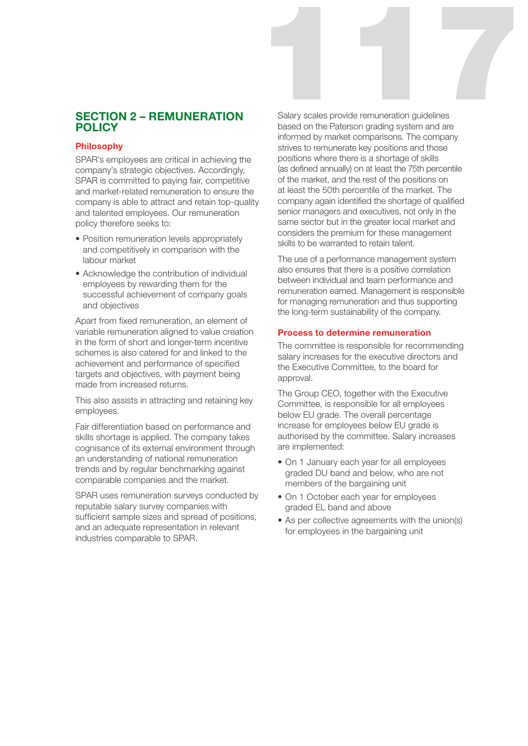# SECTION 2 – REMUNERATION POLICY

#### Philosophy

SPAR's employees are critical in achieving the company's strategic objectives. Accordingly, SPAR is committed to paying fair, competitive and market-related remuneration to ensure the company is able to attract and retain top-quality and talented employees. Our remuneration policy therefore seeks to:

- Position remuneration levels appropriately and competitively in comparison with the labour market
- Acknowledge the contribution of individual employees by rewarding them for the successful achievement of company goals and objectives

Apart from fixed remuneration, an element of variable remuneration aligned to value creation in the form of short and longer-term incentive schemes is also catered for and linked to the achievement and performance of specified targets and objectives, with payment being made from increased returns.

This also assists in attracting and retaining key employees.

Fair differentiation based on performance and skills shortage is applied. The company takes cognisance of its external environment through an understanding of national remuneration trends and by regular benchmarking against comparable companies and the market.

SPAR uses remuneration surveys conducted by reputable salary survey companies with sufficient sample sizes and spread of positions, and an adequate representation in relevant industries comparable to SPAR.

Salary scales provide remuneration guidelines Salary scales provide remuneration guidelines based on the Paterson grading system and are informed by market comparisons. The company strives to remunerate key positions and those positions where there is a shortage of skills (as defined annually) on at least the 75th percentile of the market, and the rest of the positions on at least the 50th percentile of the market. The company again identified the shortage of qualified senior managers and executives, not only in the same sector but in the greater local market and considers the premium for these management skills to be warranted to retain talent.

The use of a performance management system also ensures that there is a positive correlation between individual and team performance and remuneration earned. Management is responsible for managing remuneration and thus supporting the long-term sustainability of the company.

#### Process to determine remuneration

The committee is responsible for recommending salary increases for the executive directors and the Executive Committee, to the board for approval.

The Group CEO, together with the Executive Committee, is responsible for all employees below EU grade. The overall percentage increase for employees below EU grade is authorised by the committee. Salary increases are implemented:

- On 1 January each year for all employees graded DU band and below, who are not members of the bargaining unit
- On 1 October each year for employees graded EL band and above
- As per collective agreements with the union(s) for employees in the bargaining unit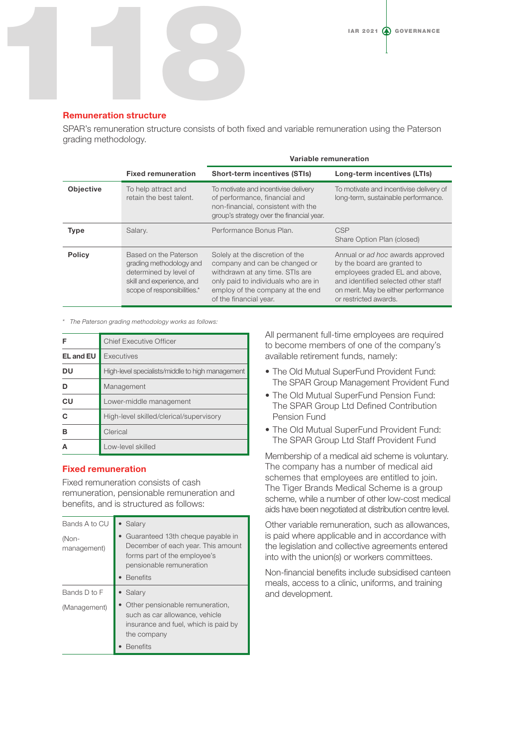

#### Remuneration structure

SPAR's remuneration structure consists of both fixed and variable remuneration using the Paterson grading methodology.

|                  |                                                                                                                                        | Variable remuneration                                                                                                                                                                                    |                                                                                                                                                                                                          |  |  |  |
|------------------|----------------------------------------------------------------------------------------------------------------------------------------|----------------------------------------------------------------------------------------------------------------------------------------------------------------------------------------------------------|----------------------------------------------------------------------------------------------------------------------------------------------------------------------------------------------------------|--|--|--|
|                  | <b>Fixed remuneration</b>                                                                                                              | <b>Short-term incentives (STIs)</b>                                                                                                                                                                      | Long-term incentives (LTIs)                                                                                                                                                                              |  |  |  |
| <b>Objective</b> | To help attract and<br>retain the best talent.                                                                                         | To motivate and incentivise delivery<br>of performance, financial and<br>non-financial, consistent with the<br>group's strategy over the financial year.                                                 | To motivate and incentivise delivery of<br>long-term, sustainable performance.                                                                                                                           |  |  |  |
| <b>Type</b>      | Salary.                                                                                                                                | Performance Bonus Plan.                                                                                                                                                                                  | <b>CSP</b><br>Share Option Plan (closed)                                                                                                                                                                 |  |  |  |
| <b>Policy</b>    | Based on the Paterson<br>grading methodology and<br>determined by level of<br>skill and experience, and<br>scope of responsibilities.* | Solely at the discretion of the<br>company and can be changed or<br>withdrawn at any time. STIs are<br>only paid to individuals who are in<br>employ of the company at the end<br>of the financial year. | Annual or ad hoc awards approved<br>by the board are granted to<br>employees graded EL and above,<br>and identified selected other staff<br>on merit. May be either performance<br>or restricted awards. |  |  |  |

*\* The Paterson grading methodology works as follows:*

| F                | <b>Chief Executive Officer</b>                   |
|------------------|--------------------------------------------------|
| <b>EL and EU</b> | Executives                                       |
| DU               | High-level specialists/middle to high management |
|                  | Management                                       |
| CU               | Lower-middle management                          |
| C                | High-level skilled/clerical/supervisory          |
| R                | Clerical                                         |
|                  | Low-level skilled                                |

#### Fixed remuneration

Fixed remuneration consists of cash remuneration, pensionable remuneration and benefits, and is structured as follows:

| Bands A to CU        | Salary                                                                                                                                                 |
|----------------------|--------------------------------------------------------------------------------------------------------------------------------------------------------|
| (Non-<br>management) | Guaranteed 13th cheque payable in<br>December of each year. This amount<br>forms part of the employee's<br>pensionable remuneration<br><b>Benefits</b> |
| Bands D to F         | Salary                                                                                                                                                 |
| (Management)         | Other pensionable remuneration,<br>such as car allowance, vehicle<br>insurance and fuel, which is paid by<br>the company<br><b>Benefits</b>            |

All permanent full-time employees are required to become members of one of the company's available retirement funds, namely:

- The Old Mutual SuperFund Provident Fund: The SPAR Group Management Provident Fund
- The Old Mutual SuperFund Pension Fund: The SPAR Group Ltd Defined Contribution Pension Fund
- The Old Mutual SuperFund Provident Fund: The SPAR Group Ltd Staff Provident Fund

Membership of a medical aid scheme is voluntary. The company has a number of medical aid schemes that employees are entitled to join. The Tiger Brands Medical Scheme is a group scheme, while a number of other low-cost medical aids have been negotiated at distribution centre level.

Other variable remuneration, such as allowances, is paid where applicable and in accordance with the legislation and collective agreements entered into with the union(s) or workers committees.

Non-financial benefits include subsidised canteen meals, access to a clinic, uniforms, and training and development.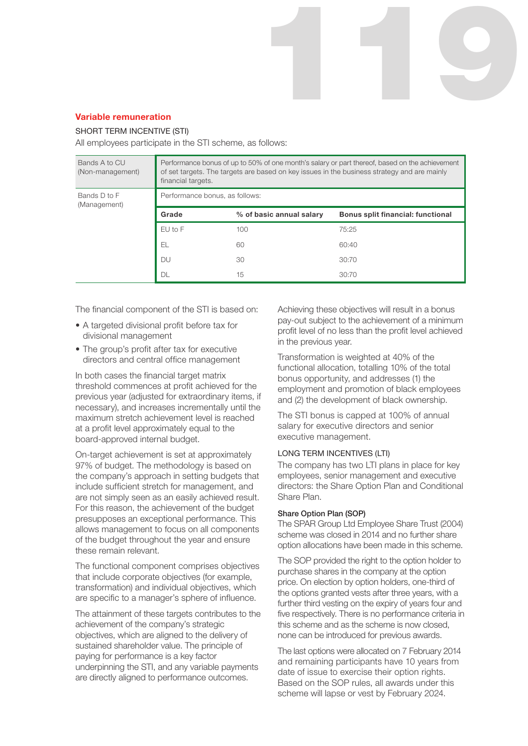

#### SHORT TERM INCENTIVE (STI)

All employees participate in the STI scheme, as follows:

| Bands A to CU<br>(Non-management) | Performance bonus of up to 50% of one month's salary or part thereof, based on the achievement<br>of set targets. The targets are based on key issues in the business strategy and are mainly<br>financial targets. |                          |                                   |  |  |
|-----------------------------------|---------------------------------------------------------------------------------------------------------------------------------------------------------------------------------------------------------------------|--------------------------|-----------------------------------|--|--|
| Bands D to F<br>(Management)      | Performance bonus, as follows:                                                                                                                                                                                      |                          |                                   |  |  |
|                                   | Grade                                                                                                                                                                                                               | % of basic annual salary | Bonus split financial: functional |  |  |
|                                   | EU to F                                                                                                                                                                                                             | 100                      | 75:25                             |  |  |
|                                   | EL.                                                                                                                                                                                                                 | 60                       | 60:40                             |  |  |
|                                   | <b>DU</b>                                                                                                                                                                                                           | 30                       | 30:70                             |  |  |
|                                   | DL                                                                                                                                                                                                                  | 15                       | 30:70                             |  |  |

The financial component of the STI is based on:

- A targeted divisional profit before tax for divisional management
- The group's profit after tax for executive directors and central office management

In both cases the financial target matrix threshold commences at profit achieved for the previous year (adjusted for extraordinary items, if necessary), and increases incrementally until the maximum stretch achievement level is reached at a profit level approximately equal to the board-approved internal budget.

On-target achievement is set at approximately 97% of budget. The methodology is based on the company's approach in setting budgets that include sufficient stretch for management, and are not simply seen as an easily achieved result. For this reason, the achievement of the budget presupposes an exceptional performance. This allows management to focus on all components of the budget throughout the year and ensure these remain relevant.

The functional component comprises objectives that include corporate objectives (for example, transformation) and individual objectives, which are specific to a manager's sphere of influence.

The attainment of these targets contributes to the achievement of the company's strategic objectives, which are aligned to the delivery of sustained shareholder value. The principle of paying for performance is a key factor underpinning the STI, and any variable payments are directly aligned to performance outcomes.

Achieving these objectives will result in a bonus pay-out subject to the achievement of a minimum profit level of no less than the profit level achieved in the previous year.

119

Transformation is weighted at 40% of the functional allocation, totalling 10% of the total bonus opportunity, and addresses (1) the employment and promotion of black employees and (2) the development of black ownership.

The STI bonus is capped at 100% of annual salary for executive directors and senior executive management.

#### LONG TERM INCENTIVES (LTI)

The company has two LTI plans in place for key employees, senior management and executive directors: the Share Option Plan and Conditional Share Plan.

#### Share Option Plan (SOP)

The SPAR Group Ltd Employee Share Trust (2004) scheme was closed in 2014 and no further share option allocations have been made in this scheme.

The SOP provided the right to the option holder to purchase shares in the company at the option price. On election by option holders, one-third of the options granted vests after three years, with a further third vesting on the expiry of years four and five respectively. There is no performance criteria in this scheme and as the scheme is now closed, none can be introduced for previous awards.

The last options were allocated on 7 February 2014 and remaining participants have 10 years from date of issue to exercise their option rights. Based on the SOP rules, all awards under this scheme will lapse or vest by February 2024.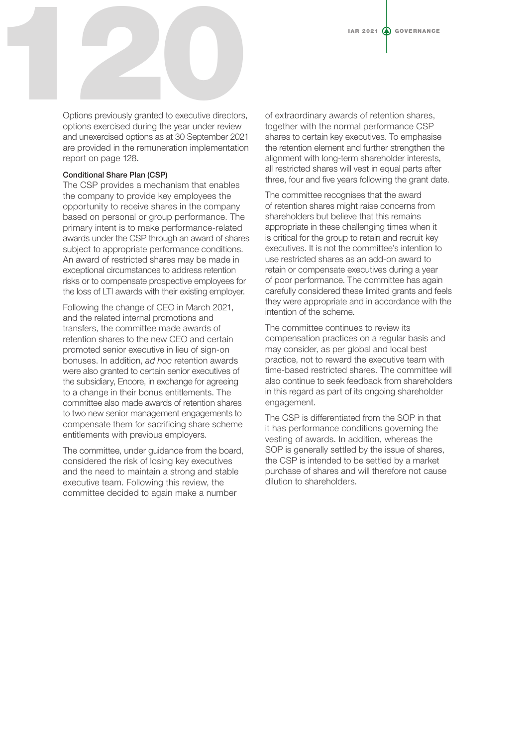

Options previously granted to executive directors, options exercised during the year under review and unexercised options as at 30 September 2021 are provided in the remuneration implementation report on page 128.

#### Conditional Share Plan (CSP)

The CSP provides a mechanism that enables the company to provide key employees the opportunity to receive shares in the company based on personal or group performance. The primary intent is to make performance-related awards under the CSP through an award of shares subject to appropriate performance conditions. An award of restricted shares may be made in exceptional circumstances to address retention risks or to compensate prospective employees for the loss of LTI awards with their existing employer.

Following the change of CEO in March 2021, and the related internal promotions and transfers, the committee made awards of retention shares to the new CEO and certain promoted senior executive in lieu of sign-on bonuses. In addition, *ad hoc* retention awards were also granted to certain senior executives of the subsidiary, Encore, in exchange for agreeing to a change in their bonus entitlements. The committee also made awards of retention shares to two new senior management engagements to compensate them for sacrificing share scheme entitlements with previous employers.

The committee, under guidance from the board, considered the risk of losing key executives and the need to maintain a strong and stable executive team. Following this review, the committee decided to again make a number

of extraordinary awards of retention shares, together with the normal performance CSP shares to certain key executives. To emphasise the retention element and further strengthen the alignment with long-term shareholder interests, all restricted shares will vest in equal parts after three, four and five years following the grant date.

The committee recognises that the award of retention shares might raise concerns from shareholders but believe that this remains appropriate in these challenging times when it is critical for the group to retain and recruit key executives. It is not the committee's intention to use restricted shares as an add-on award to retain or compensate executives during a year of poor performance. The committee has again carefully considered these limited grants and feels they were appropriate and in accordance with the intention of the scheme.

The committee continues to review its compensation practices on a regular basis and may consider, as per global and local best practice, not to reward the executive team with time-based restricted shares. The committee will also continue to seek feedback from shareholders in this regard as part of its ongoing shareholder engagement.

The CSP is differentiated from the SOP in that it has performance conditions governing the vesting of awards. In addition, whereas the SOP is generally settled by the issue of shares, the CSP is intended to be settled by a market purchase of shares and will therefore not cause dilution to shareholders.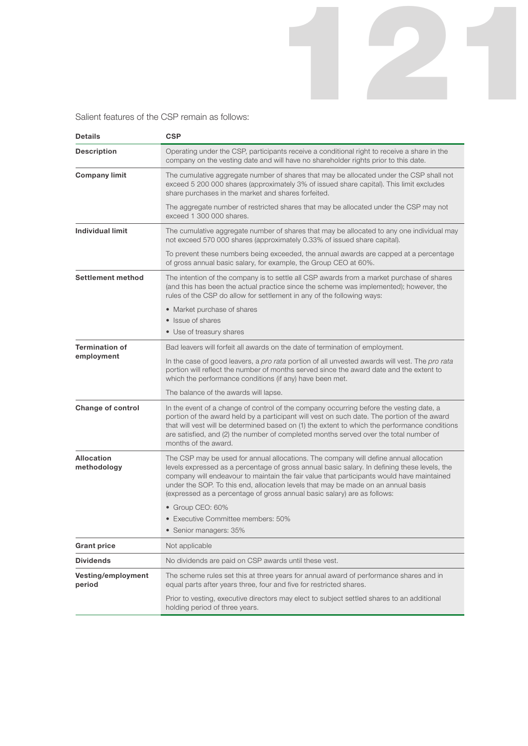Salient features of the CSP remain as follows:

| <b>Details</b>                   | <b>CSP</b>                                                                                                                                                                                                                                                                                                                                                                                                                                          |
|----------------------------------|-----------------------------------------------------------------------------------------------------------------------------------------------------------------------------------------------------------------------------------------------------------------------------------------------------------------------------------------------------------------------------------------------------------------------------------------------------|
| <b>Description</b>               | Operating under the CSP, participants receive a conditional right to receive a share in the<br>company on the vesting date and will have no shareholder rights prior to this date.                                                                                                                                                                                                                                                                  |
| <b>Company limit</b>             | The cumulative aggregate number of shares that may be allocated under the CSP shall not<br>exceed 5 200 000 shares (approximately 3% of issued share capital). This limit excludes<br>share purchases in the market and shares forfeited.                                                                                                                                                                                                           |
|                                  | The aggregate number of restricted shares that may be allocated under the CSP may not<br>exceed 1 300 000 shares.                                                                                                                                                                                                                                                                                                                                   |
| <b>Individual limit</b>          | The cumulative aggregate number of shares that may be allocated to any one individual may<br>not exceed 570 000 shares (approximately 0.33% of issued share capital).                                                                                                                                                                                                                                                                               |
|                                  | To prevent these numbers being exceeded, the annual awards are capped at a percentage<br>of gross annual basic salary, for example, the Group CEO at 60%.                                                                                                                                                                                                                                                                                           |
| <b>Settlement method</b>         | The intention of the company is to settle all CSP awards from a market purchase of shares<br>(and this has been the actual practice since the scheme was implemented); however, the<br>rules of the CSP do allow for settlement in any of the following ways:                                                                                                                                                                                       |
|                                  | • Market purchase of shares                                                                                                                                                                                                                                                                                                                                                                                                                         |
|                                  | • Issue of shares                                                                                                                                                                                                                                                                                                                                                                                                                                   |
|                                  | • Use of treasury shares                                                                                                                                                                                                                                                                                                                                                                                                                            |
| <b>Termination of</b>            | Bad leavers will forfeit all awards on the date of termination of employment.                                                                                                                                                                                                                                                                                                                                                                       |
| employment                       | In the case of good leavers, a pro rata portion of all unvested awards will vest. The pro rata<br>portion will reflect the number of months served since the award date and the extent to<br>which the performance conditions (if any) have been met.                                                                                                                                                                                               |
|                                  | The balance of the awards will lapse.                                                                                                                                                                                                                                                                                                                                                                                                               |
| <b>Change of control</b>         | In the event of a change of control of the company occurring before the vesting date, a<br>portion of the award held by a participant will vest on such date. The portion of the award<br>that will vest will be determined based on (1) the extent to which the performance conditions<br>are satisfied, and (2) the number of completed months served over the total number of<br>months of the award.                                            |
| <b>Allocation</b><br>methodology | The CSP may be used for annual allocations. The company will define annual allocation<br>levels expressed as a percentage of gross annual basic salary. In defining these levels, the<br>company will endeavour to maintain the fair value that participants would have maintained<br>under the SOP. To this end, allocation levels that may be made on an annual basis<br>(expressed as a percentage of gross annual basic salary) are as follows: |
|                                  | • Group CEO: 60%                                                                                                                                                                                                                                                                                                                                                                                                                                    |
|                                  | • Executive Committee members: 50%                                                                                                                                                                                                                                                                                                                                                                                                                  |
|                                  | • Senior managers: 35%                                                                                                                                                                                                                                                                                                                                                                                                                              |
| <b>Grant price</b>               | Not applicable                                                                                                                                                                                                                                                                                                                                                                                                                                      |
| <b>Dividends</b>                 | No dividends are paid on CSP awards until these vest.                                                                                                                                                                                                                                                                                                                                                                                               |
| Vesting/employment<br>period     | The scheme rules set this at three years for annual award of performance shares and in<br>equal parts after years three, four and five for restricted shares.                                                                                                                                                                                                                                                                                       |
|                                  | Prior to vesting, executive directors may elect to subject settled shares to an additional<br>holding period of three years.                                                                                                                                                                                                                                                                                                                        |

121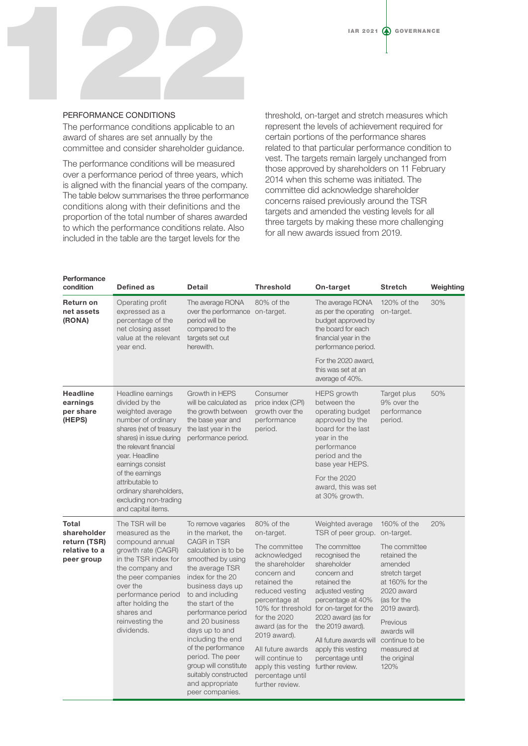

### PERFORMANCE CONDITIONS

The performance conditions applicable to an award of shares are set annually by the committee and consider shareholder guidance.

The performance conditions will be measured over a performance period of three years, which is aligned with the financial years of the company. The table below summarises the three performance conditions along with their definitions and the proportion of the total number of shares awarded to which the performance conditions relate. Also included in the table are the target levels for the

threshold, on-target and stretch measures which represent the levels of achievement required for certain portions of the performance shares related to that particular performance condition to vest. The targets remain largely unchanged from those approved by shareholders on 11 February 2014 when this scheme was initiated. The committee did acknowledge shareholder concerns raised previously around the TSR targets and amended the vesting levels for all three targets by making these more challenging for all new awards issued from 2019.

| Performance<br>condition                           | Defined as                                                                                                                                                                                                   | <b>Detail</b>                                                                                                                                                                                                                                                                                                                                                                       | <b>Threshold</b>                                                                                                                                                                                                                                                               | On-target                                                                                                                                                                                                                                                                                          | <b>Stretch</b>                                                                                                                                                                                                 | Weighting |
|----------------------------------------------------|--------------------------------------------------------------------------------------------------------------------------------------------------------------------------------------------------------------|-------------------------------------------------------------------------------------------------------------------------------------------------------------------------------------------------------------------------------------------------------------------------------------------------------------------------------------------------------------------------------------|--------------------------------------------------------------------------------------------------------------------------------------------------------------------------------------------------------------------------------------------------------------------------------|----------------------------------------------------------------------------------------------------------------------------------------------------------------------------------------------------------------------------------------------------------------------------------------------------|----------------------------------------------------------------------------------------------------------------------------------------------------------------------------------------------------------------|-----------|
| <b>Return on</b><br>net assets<br>(RONA)           | Operating profit<br>expressed as a<br>percentage of the<br>net closing asset<br>value at the relevant<br>vear end.                                                                                           | The average RONA<br>over the performance on-target.<br>period will be<br>compared to the<br>targets set out<br>herewith.                                                                                                                                                                                                                                                            | 80% of the                                                                                                                                                                                                                                                                     | The average RONA<br>as per the operating<br>budget approved by<br>the board for each<br>financial year in the<br>performance period.                                                                                                                                                               | 120% of the<br>on-target.                                                                                                                                                                                      | 30%       |
|                                                    |                                                                                                                                                                                                              |                                                                                                                                                                                                                                                                                                                                                                                     |                                                                                                                                                                                                                                                                                | For the 2020 award,<br>this was set at an<br>average of 40%.                                                                                                                                                                                                                                       |                                                                                                                                                                                                                |           |
| <b>Headline</b><br>earnings<br>per share<br>(HEPS) | Headline earnings<br>divided by the<br>weighted average<br>number of ordinary<br>shares (net of treasury<br>shares) in issue during<br>the relevant financial<br>year. Headline<br>earnings consist          | Growth in HEPS<br>will be calculated as<br>the growth between<br>the base year and<br>the last year in the<br>performance period.                                                                                                                                                                                                                                                   | Consumer<br>price index (CPI)<br>growth over the<br>performance<br>period.                                                                                                                                                                                                     | <b>HEPS</b> growth<br>between the<br>operating budget<br>approved by the<br>board for the last<br>year in the<br>performance<br>period and the<br>base year HEPS.                                                                                                                                  | Target plus<br>9% over the<br>performance<br>period.                                                                                                                                                           | 50%       |
|                                                    | of the earnings<br>attributable to<br>ordinary shareholders,<br>excluding non-trading<br>and capital items.                                                                                                  |                                                                                                                                                                                                                                                                                                                                                                                     |                                                                                                                                                                                                                                                                                | For the 2020<br>award, this was set<br>at 30% growth.                                                                                                                                                                                                                                              |                                                                                                                                                                                                                |           |
| Total<br>shareholder                               | The TSR will be<br>measured as the                                                                                                                                                                           | To remove vagaries<br>in the market, the                                                                                                                                                                                                                                                                                                                                            | 80% of the<br>on-target.                                                                                                                                                                                                                                                       | Weighted average<br>TSR of peer group. on-target.                                                                                                                                                                                                                                                  | 160% of the                                                                                                                                                                                                    | 20%       |
| return (TSR)<br>relative to a<br>peer group        | compound annual<br>growth rate (CAGR)<br>in the TSR index for<br>the company and<br>the peer companies<br>over the<br>performance period<br>after holding the<br>shares and<br>reinvesting the<br>dividends. | <b>CAGR in TSR</b><br>calculation is to be<br>smoothed by using<br>the average TSR<br>index for the 20<br>business days up<br>to and including<br>the start of the<br>performance period<br>and 20 business<br>days up to and<br>including the end<br>of the performance<br>period. The peer<br>group will constitute<br>suitably constructed<br>and appropriate<br>peer companies. | The committee<br>acknowledged<br>the shareholder<br>concern and<br>retained the<br>reduced vesting<br>percentage at<br>for the 2020<br>award (as for the<br>2019 award).<br>All future awards<br>will continue to<br>apply this vesting<br>percentage until<br>further review. | The committee<br>recognised the<br>shareholder<br>concern and<br>retained the<br>adjusted vesting<br>percentage at 40%<br>10% for threshold for on-target for the<br>2020 award (as for<br>the 2019 award).<br>All future awards will<br>apply this vesting<br>percentage until<br>further review. | The committee<br>retained the<br>amended<br>stretch target<br>at 160% for the<br>2020 award<br>(as for the<br>2019 award).<br>Previous<br>awards will<br>continue to be<br>measured at<br>the original<br>120% |           |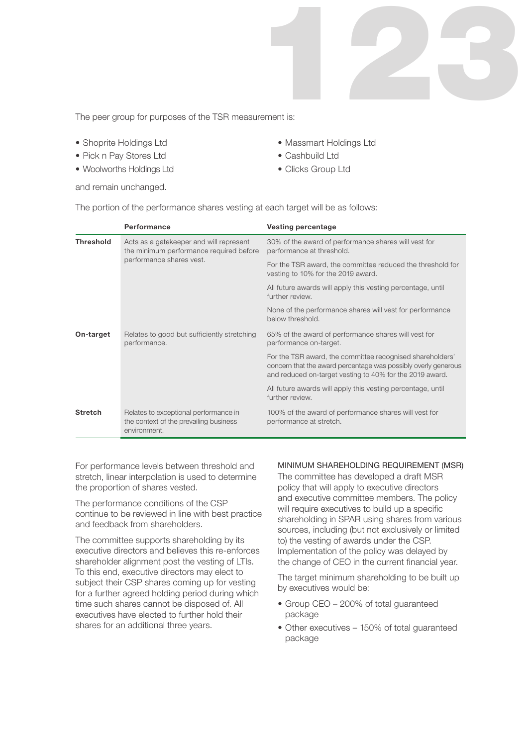

The peer group for purposes of the TSR measurement is:

- Shoprite Holdings Ltd
- Pick n Pay Stores Ltd
- Woolworths Holdings Ltd

and remain unchanged.

- Massmart Holdings Ltd
- Cashbuild Ltd
- Clicks Group Ltd

| The portion of the performance shares vesting at each target will be as follows: |  |  |
|----------------------------------------------------------------------------------|--|--|
|                                                                                  |  |  |

|                                                                          | Performance                                                                                     | <b>Vesting percentage</b>                                                                                                                                                               |
|--------------------------------------------------------------------------|-------------------------------------------------------------------------------------------------|-----------------------------------------------------------------------------------------------------------------------------------------------------------------------------------------|
| <b>Threshold</b>                                                         | Acts as a gatekeeper and will represent<br>the minimum performance required before              | 30% of the award of performance shares will vest for<br>performance at threshold.                                                                                                       |
|                                                                          | performance shares vest.                                                                        | For the TSR award, the committee reduced the threshold for<br>vesting to 10% for the 2019 award.                                                                                        |
|                                                                          |                                                                                                 | All future awards will apply this vesting percentage, until<br>further review.                                                                                                          |
|                                                                          |                                                                                                 | None of the performance shares will vest for performance<br>below threshold.                                                                                                            |
| Relates to good but sufficiently stretching<br>On-target<br>performance. |                                                                                                 | 65% of the award of performance shares will vest for<br>performance on-target.                                                                                                          |
|                                                                          |                                                                                                 | For the TSR award, the committee recognised shareholders'<br>concern that the award percentage was possibly overly generous<br>and reduced on-target vesting to 40% for the 2019 award. |
|                                                                          |                                                                                                 | All future awards will apply this vesting percentage, until<br>further review.                                                                                                          |
| <b>Stretch</b>                                                           | Relates to exceptional performance in<br>the context of the prevailing business<br>environment. | 100% of the award of performance shares will vest for<br>performance at stretch.                                                                                                        |

For performance levels between threshold and stretch, linear interpolation is used to determine the proportion of shares vested.

The performance conditions of the CSP continue to be reviewed in line with best practice and feedback from shareholders.

The committee supports shareholding by its executive directors and believes this re-enforces shareholder alignment post the vesting of LTIs. To this end, executive directors may elect to subject their CSP shares coming up for vesting for a further agreed holding period during which time such shares cannot be disposed of. All executives have elected to further hold their shares for an additional three years.

### MINIMUM SHAREHOLDING REQUIREMENT (MSR)

The committee has developed a draft MSR policy that will apply to executive directors and executive committee members. The policy will require executives to build up a specific shareholding in SPAR using shares from various sources, including (but not exclusively or limited to) the vesting of awards under the CSP. Implementation of the policy was delayed by the change of CEO in the current financial year.

The target minimum shareholding to be built up by executives would be:

- Group CEO 200% of total guaranteed package
- Other executives 150% of total guaranteed package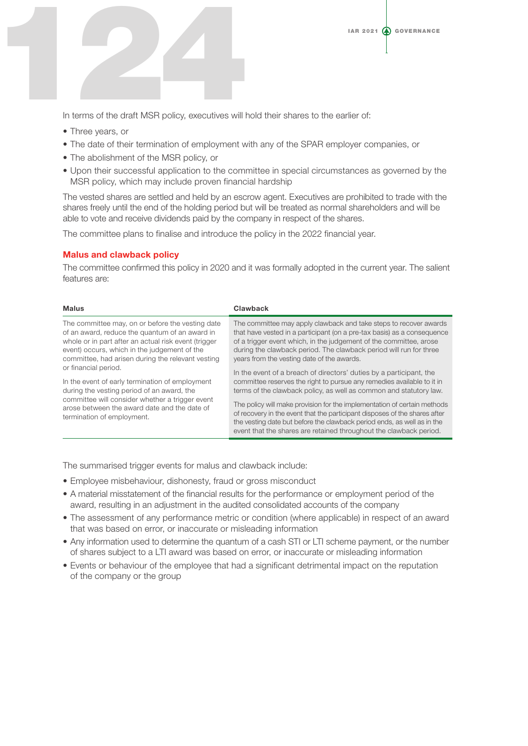

In terms of the draft MSR policy, executives will hold their shares to the earlier of:

- Three years, or
- The date of their termination of employment with any of the SPAR employer companies, or
- The abolishment of the MSR policy, or
- Upon their successful application to the committee in special circumstances as governed by the MSR policy, which may include proven financial hardship

The vested shares are settled and held by an escrow agent. Executives are prohibited to trade with the shares freely until the end of the holding period but will be treated as normal shareholders and will be able to vote and receive dividends paid by the company in respect of the shares.

The committee plans to finalise and introduce the policy in the 2022 financial year.

#### Malus and clawback policy

The committee confirmed this policy in 2020 and it was formally adopted in the current year. The salient features are:

| Clawback                                                                                                                                                                                                                                                                                                                               |
|----------------------------------------------------------------------------------------------------------------------------------------------------------------------------------------------------------------------------------------------------------------------------------------------------------------------------------------|
| The committee may apply clawback and take steps to recover awards<br>that have vested in a participant (on a pre-tax basis) as a consequence<br>of a trigger event which, in the judgement of the committee, arose<br>during the clawback period. The clawback period will run for three<br>years from the vesting date of the awards. |
| In the event of a breach of directors' duties by a participant, the<br>committee reserves the right to pursue any remedies available to it in<br>terms of the clawback policy, as well as common and statutory law.                                                                                                                    |
| The policy will make provision for the implementation of certain methods<br>of recovery in the event that the participant disposes of the shares after<br>the vesting date but before the clawback period ends, as well as in the<br>event that the shares are retained throughout the clawback period.                                |
|                                                                                                                                                                                                                                                                                                                                        |

The summarised trigger events for malus and clawback include:

- Employee misbehaviour, dishonesty, fraud or gross misconduct
- A material misstatement of the financial results for the performance or employment period of the award, resulting in an adjustment in the audited consolidated accounts of the company
- The assessment of any performance metric or condition (where applicable) in respect of an award that was based on error, or inaccurate or misleading information
- Any information used to determine the quantum of a cash STI or LTI scheme payment, or the number of shares subject to a LTI award was based on error, or inaccurate or misleading information
- Events or behaviour of the employee that had a significant detrimental impact on the reputation of the company or the group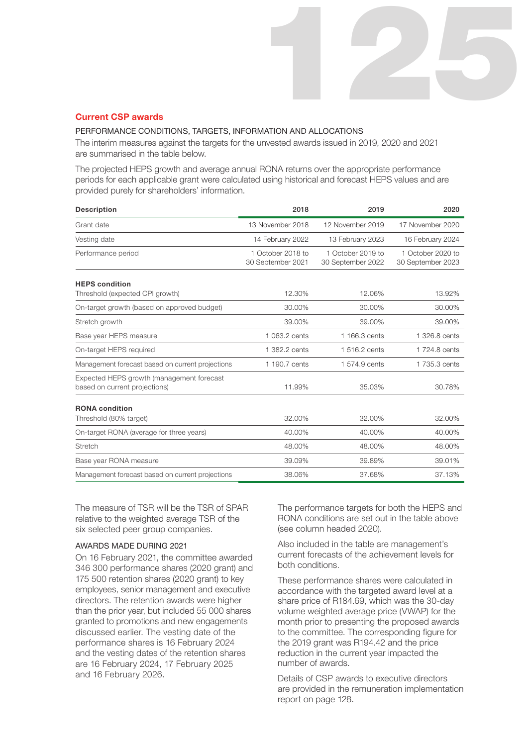#### Current CSP awards

#### PERFORMANCE CONDITIONS, TARGETS, INFORMATION AND ALLOCATIONS

The interim measures against the targets for the unvested awards issued in 2019, 2020 and 2021 are summarised in the table below.

The projected HEPS growth and average annual RONA returns over the appropriate performance periods for each applicable grant were calculated using historical and forecast HEPS values and are provided purely for shareholders' information.

| <b>Description</b>                                                         | 2018                                   | 2019                                   | 2020                                   |
|----------------------------------------------------------------------------|----------------------------------------|----------------------------------------|----------------------------------------|
| Grant date                                                                 | 13 November 2018                       | 12 November 2019                       | 17 November 2020                       |
| Vesting date                                                               | 14 February 2022                       | 13 February 2023                       | 16 February 2024                       |
| Performance period                                                         | 1 October 2018 to<br>30 September 2021 | 1 October 2019 to<br>30 September 2022 | 1 October 2020 to<br>30 September 2023 |
| <b>HEPS</b> condition                                                      |                                        |                                        |                                        |
| Threshold (expected CPI growth)                                            | 12.30%                                 | 12.06%                                 | 13.92%                                 |
| On-target growth (based on approved budget)                                | 30.00%                                 | 30.00%                                 | 30.00%                                 |
| Stretch growth                                                             | 39.00%                                 | 39.00%                                 | 39.00%                                 |
| Base year HEPS measure                                                     | 1 063.2 cents                          | 1 166.3 cents                          | 1 326.8 cents                          |
| On-target HEPS required                                                    | 1 382.2 cents                          | 1 516.2 cents                          | 1 724.8 cents                          |
| Management forecast based on current projections                           | 1 190.7 cents                          | 1 574.9 cents                          | 1 735.3 cents                          |
| Expected HEPS growth (management forecast<br>based on current projections) | 11.99%                                 | 35.03%                                 | 30.78%                                 |
| <b>RONA</b> condition<br>Threshold (80% target)                            | 32.00%                                 | 32.00%                                 | 32.00%                                 |
| On-target RONA (average for three years)                                   | 40.00%                                 | 40.00%                                 | 40.00%                                 |
| Stretch                                                                    | 48.00%                                 | 48.00%                                 | 48.00%                                 |
| Base year RONA measure                                                     | 39.09%                                 | 39.89%                                 | 39.01%                                 |
| Management forecast based on current projections                           | 38.06%                                 | 37.68%                                 | 37.13%                                 |

The measure of TSR will be the TSR of SPAR relative to the weighted average TSR of the six selected peer group companies.

#### AWARDS MADE DURING 2021

On 16 February 2021, the committee awarded 346 300 performance shares (2020 grant) and 175 500 retention shares (2020 grant) to key employees, senior management and executive directors. The retention awards were higher than the prior year, but included 55 000 shares granted to promotions and new engagements discussed earlier. The vesting date of the performance shares is 16 February 2024 and the vesting dates of the retention shares are 16 February 2024, 17 February 2025 and 16 February 2026.

The performance targets for both the HEPS and RONA conditions are set out in the table above (see column headed 2020).

125

Also included in the table are management's current forecasts of the achievement levels for both conditions.

These performance shares were calculated in accordance with the targeted award level at a share price of R184.69, which was the 30-day volume weighted average price (VWAP) for the month prior to presenting the proposed awards to the committee. The corresponding figure for the 2019 grant was R194.42 and the price reduction in the current year impacted the number of awards.

Details of CSP awards to executive directors are provided in the remuneration implementation report on page 128.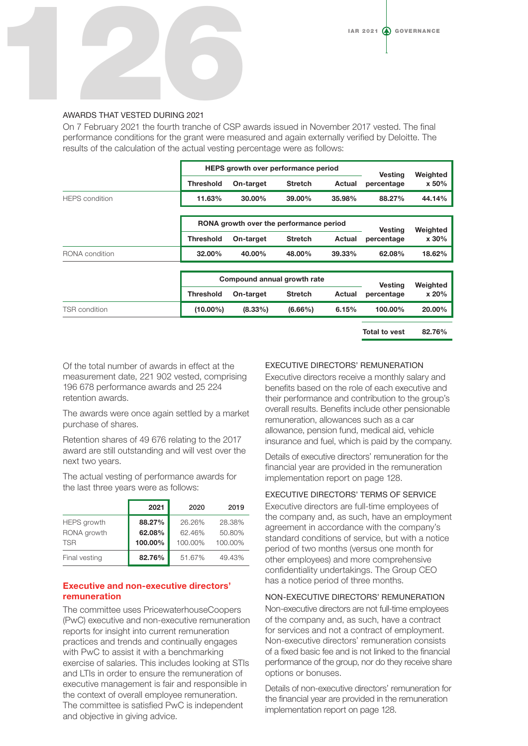

#### AWARDS THAT VESTED DURING 2021

On 7 February 2021 the fourth tranche of CSP awards issued in November 2017 vested. The final performance conditions for the grant were measured and again externally verified by Deloitte. The results of the calculation of the actual vesting percentage were as follows:

|                       | HEPS growth over performance period     |            |                             |                | <b>Vesting</b> | Weighted |
|-----------------------|-----------------------------------------|------------|-----------------------------|----------------|----------------|----------|
|                       | <b>Threshold</b>                        | On-target  | <b>Stretch</b>              | Actual         | percentage     | x 50%    |
| <b>HEPS</b> condition | 11.63%                                  | $30.00\%$  | 39.00%                      | 35.98%         | 88.27%         | 44.14%   |
|                       |                                         |            |                             |                |                |          |
|                       | RONA growth over the performance period |            |                             | <b>Vesting</b> | Weighted       |          |
|                       | <b>Threshold</b>                        | On-target  | <b>Stretch</b>              | Actual         | percentage     | x 30%    |
| RONA condition        | 32.00%                                  | 40.00%     | 48.00%                      | 39.33%         | 62.08%         | 18.62%   |
|                       |                                         |            |                             |                |                |          |
|                       |                                         |            | Compound annual growth rate |                | <b>Vesting</b> | Weighted |
|                       | <b>Threshold</b>                        | On-target  | <b>Stretch</b>              | Actual         | percentage     | x 20%    |
| TSR condition         | $(10.00\%)$                             | $(8.33\%)$ | $(6.66\%)$                  | 6.15%          | 100.00%        | 20.00%   |

Total to vest 82.76%

Of the total number of awards in effect at the measurement date, 221 902 vested, comprising 196 678 performance awards and 25 224 retention awards.

The awards were once again settled by a market purchase of shares.

Retention shares of 49 676 relating to the 2017 award are still outstanding and will vest over the next two years.

The actual vesting of performance awards for the last three years were as follows:

|                                          | 2021                        | 2020                        | 2019                        |
|------------------------------------------|-----------------------------|-----------------------------|-----------------------------|
| HEPS growth<br>RONA growth<br><b>TSR</b> | 88.27%<br>62.08%<br>100.00% | 26.26%<br>62.46%<br>100.00% | 28.38%<br>50.80%<br>100.00% |
| Final vesting                            | 82.76%                      | 51.67%                      | 49.43%                      |

### Executive and non-executive directors' remuneration

The committee uses PricewaterhouseCoopers (PwC) executive and non-executive remuneration reports for insight into current remuneration practices and trends and continually engages with PwC to assist it with a benchmarking exercise of salaries. This includes looking at STIs and LTIs in order to ensure the remuneration of executive management is fair and responsible in the context of overall employee remuneration. The committee is satisfied PwC is independent and objective in giving advice.

#### EXECUTIVE DIRECTORS' REMUNERATION

Executive directors receive a monthly salary and benefits based on the role of each executive and their performance and contribution to the group's overall results. Benefits include other pensionable remuneration, allowances such as a car allowance, pension fund, medical aid, vehicle insurance and fuel, which is paid by the company.

Details of executive directors' remuneration for the financial year are provided in the remuneration implementation report on page 128.

#### EXECUTIVE DIRECTORS' TERMS OF SERVICE

Executive directors are full-time employees of the company and, as such, have an employment agreement in accordance with the company's standard conditions of service, but with a notice period of two months (versus one month for other employees) and more comprehensive confidentiality undertakings. The Group CEO has a notice period of three months.

#### NON-EXECUTIVE DIRECTORS' REMUNERATION

Non-executive directors are not full-time employees of the company and, as such, have a contract for services and not a contract of employment. Non-executive directors' remuneration consists of a fixed basic fee and is not linked to the financial performance of the group, nor do they receive share options or bonuses.

Details of non-executive directors' remuneration for the financial year are provided in the remuneration implementation report on page 128.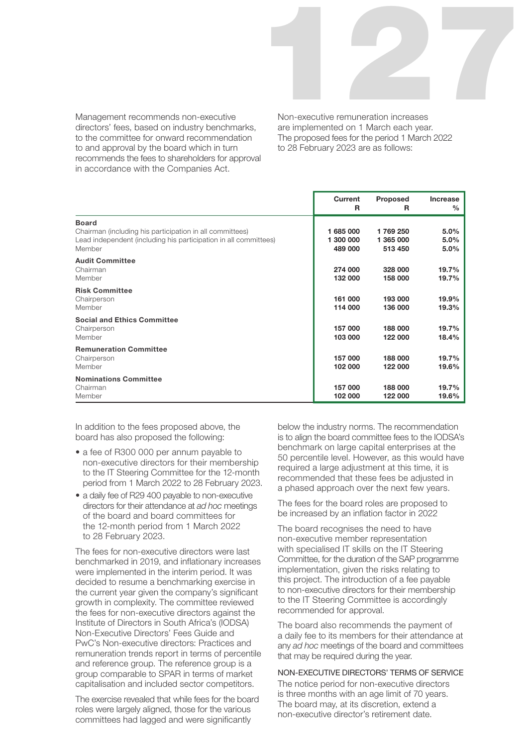

Management recommends non-executive directors' fees, based on industry benchmarks, to the committee for onward recommendation to and approval by the board which in turn recommends the fees to shareholders for approval in accordance with the Companies Act.

Non-executive remuneration increases are implemented on 1 March each year. The proposed fees for the period 1 March 2022 to 28 February 2023 are as follows:

|                                                                                                                                                        | Current<br>R                      | <b>Proposed</b><br>R            | <b>Increase</b><br>$\%$ |
|--------------------------------------------------------------------------------------------------------------------------------------------------------|-----------------------------------|---------------------------------|-------------------------|
| <b>Board</b><br>Chairman (including his participation in all committees)<br>Lead independent (including his participation in all committees)<br>Member | 1 685 000<br>1 300 000<br>489 000 | 1769250<br>1 365 000<br>513 450 | 5.0%<br>5.0%<br>5.0%    |
| <b>Audit Committee</b><br>Chairman<br>Member                                                                                                           | 274 000<br>132 000                | 328 000<br>158 000              | 19.7%<br>19.7%          |
| <b>Risk Committee</b><br>Chairperson<br>Member                                                                                                         | 161 000<br>114 000                | 193 000<br>136 000              | 19.9%<br>19.3%          |
| <b>Social and Ethics Committee</b><br>Chairperson<br>Member                                                                                            | 157 000<br>103 000                | 188 000<br>122 000              | 19.7%<br>18.4%          |
| <b>Remuneration Committee</b><br>Chairperson<br>Member                                                                                                 | 157 000<br>102 000                | 188 000<br>122 000              | 19.7%<br>19.6%          |
| <b>Nominations Committee</b><br>Chairman<br>Member                                                                                                     | 157 000<br>102 000                | 188 000<br>122 000              | 19.7%<br>19.6%          |

In addition to the fees proposed above, the board has also proposed the following:

- a fee of R300 000 per annum payable to non-executive directors for their membership to the IT Steering Committee for the 12-month period from 1 March 2022 to 28 February 2023.
- a daily fee of R29 400 payable to non-executive directors for their attendance at *ad hoc* meetings of the board and board committees for the 12-month period from 1 March 2022 to 28 February 2023.

The fees for non-executive directors were last benchmarked in 2019, and inflationary increases were implemented in the interim period. It was decided to resume a benchmarking exercise in the current year given the company's significant growth in complexity. The committee reviewed the fees for non-executive directors against the Institute of Directors in South Africa's (IODSA) Non-Executive Directors' Fees Guide and PwC's Non-executive directors: Practices and remuneration trends report in terms of percentile and reference group. The reference group is a group comparable to SPAR in terms of market capitalisation and included sector competitors.

The exercise revealed that while fees for the board roles were largely aligned, those for the various committees had lagged and were significantly

below the industry norms. The recommendation is to align the board committee fees to the IODSA's benchmark on large capital enterprises at the 50 percentile level. However, as this would have required a large adjustment at this time, it is recommended that these fees be adjusted in a phased approach over the next few years.

The fees for the board roles are proposed to be increased by an inflation factor in 2022

The board recognises the need to have non-executive member representation with specialised IT skills on the IT Steering Committee, for the duration of the SAP programme implementation, given the risks relating to this project. The introduction of a fee payable to non-executive directors for their membership to the IT Steering Committee is accordingly recommended for approval.

The board also recommends the payment of a daily fee to its members for their attendance at any *ad hoc* meetings of the board and committees that may be required during the year.

#### NON-EXECUTIVE DIRECTORS' TERMS OF SERVICE

The notice period for non-executive directors is three months with an age limit of 70 years. The board may, at its discretion, extend a non-executive director's retirement date.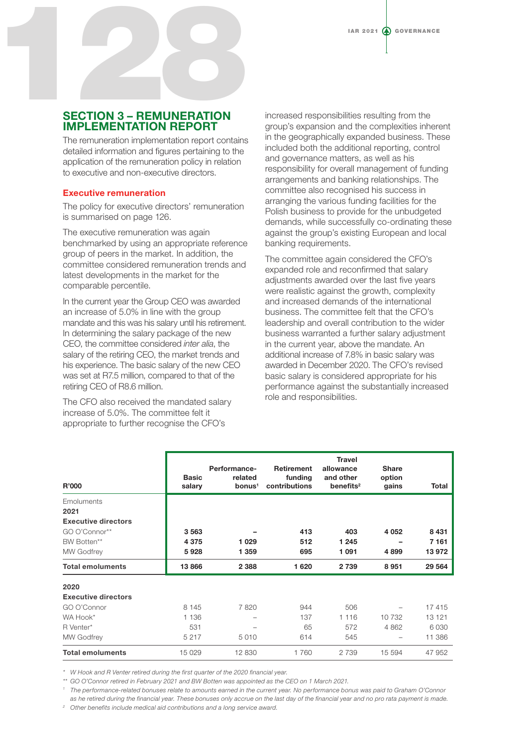# SECTION 3 – REMUNERATION IMPLEMENTATION REPORT IAR 2021

The remuneration implementation report contains detailed information and figures pertaining to the application of the remuneration policy in relation to executive and non-executive directors.

#### Executive remuneration

The policy for executive directors' remuneration is summarised on page 126.

The executive remuneration was again benchmarked by using an appropriate reference group of peers in the market. In addition, the committee considered remuneration trends and latest developments in the market for the comparable percentile.

In the current year the Group CEO was awarded an increase of 5.0% in line with the group mandate and this was his salary until his retirement. In determining the salary package of the new CEO, the committee considered *inter alia*, the salary of the retiring CEO, the market trends and his experience. The basic salary of the new CEO was set at R7.5 million, compared to that of the retiring CEO of R8.6 million.

The CFO also received the mandated salary increase of 5.0%. The committee felt it appropriate to further recognise the CFO's

increased responsibilities resulting from the group's expansion and the complexities inherent in the geographically expanded business. These included both the additional reporting, control and governance matters, as well as his responsibility for overall management of funding arrangements and banking relationships. The committee also recognised his success in arranging the various funding facilities for the Polish business to provide for the unbudgeted demands, while successfully co-ordinating these against the group's existing European and local banking requirements.

The committee again considered the CFO's expanded role and reconfirmed that salary adjustments awarded over the last five years were realistic against the growth, complexity and increased demands of the international business. The committee felt that the CFO's leadership and overall contribution to the wider business warranted a further salary adjustment in the current year, above the mandate. An additional increase of 7.8% in basic salary was awarded in December 2020. The CFO's revised basic salary is considered appropriate for his performance against the substantially increased role and responsibilities.

| <b>R'000</b>               | <b>Basic</b><br>salary | Performance-<br>related<br>bonus <sup>1</sup> | <b>Retirement</b><br>funding<br>contributions | <b>Travel</b><br>allowance<br>and other<br>benefits $2$ | <b>Share</b><br>option<br>gains | Total   |
|----------------------------|------------------------|-----------------------------------------------|-----------------------------------------------|---------------------------------------------------------|---------------------------------|---------|
| Emoluments                 |                        |                                               |                                               |                                                         |                                 |         |
| 2021                       |                        |                                               |                                               |                                                         |                                 |         |
| <b>Executive directors</b> |                        |                                               |                                               |                                                         |                                 |         |
| GO O'Connor**              | 3563                   |                                               | 413                                           | 403                                                     | 4 0 5 2                         | 8 4 3 1 |
| BW Botten**                | 4 3 7 5                | 1 0 2 9                                       | 512                                           | 1 2 4 5                                                 |                                 | 7 161   |
| <b>MW Godfrey</b>          | 5928                   | 1 3 5 9                                       | 695                                           | 1091                                                    | 4899                            | 13 972  |
| <b>Total emoluments</b>    | 13866                  | 2 3 8 8                                       | 1 6 2 0                                       | 2 7 3 9                                                 | 8 9 5 1                         | 29 5 64 |
| 2020                       |                        |                                               |                                               |                                                         |                                 |         |
| <b>Executive directors</b> |                        |                                               |                                               |                                                         |                                 |         |
| GO O'Connor                | 8 1 4 5                | 7820                                          | 944                                           | 506                                                     |                                 | 17415   |
| WA Hook*                   | 1 1 3 6                |                                               | 137                                           | 1 1 1 6                                                 | 10 732                          | 13 121  |
| R Venter*                  | 531                    |                                               | 65                                            | 572                                                     | 4 8 6 2                         | 6 0 3 0 |
| <b>MW Godfrey</b>          | 5 2 1 7                | 5 0 1 0                                       | 614                                           | 545                                                     | -                               | 11 386  |
| <b>Total emoluments</b>    | 15 0 29                | 12 830                                        | 1760                                          | 2739                                                    | 15 594                          | 47 952  |

*\* W Hook and R Venter retired during the first quarter of the 2020 financial year.* 

*\*\* GO O'Connor retired in February 2021 and BW Botten was appointed as the CEO on 1 March 2021.* 

<sup>1</sup> The performance-related bonuses relate to amounts earned in the current year. No performance bonus was paid to Graham O'Connor *as he retired during the financial year. These bonuses only accrue on the last day of the financial year and no pro rata payment is made.*

*<sup>2</sup> Other benefits include medical aid contributions and a long service award.*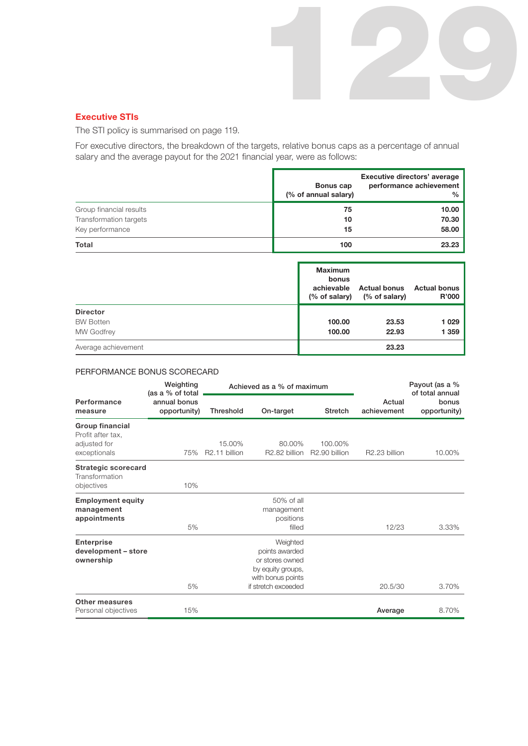#### Executive STIs

The STI policy is summarised on page 119.

For executive directors, the breakdown of the targets, relative bonus caps as a percentage of annual salary and the average payout for the 2021 financial year, were as follows:

129

|                         | Bonus cap<br>(% of annual salary) | Executive directors' average<br>performance achievement<br>$\%$ |
|-------------------------|-----------------------------------|-----------------------------------------------------------------|
| Group financial results | 75                                | 10.00                                                           |
| Transformation targets  | 10                                | 70.30                                                           |
| Key performance         | 15                                | 58.00                                                           |
| Total                   | 100                               | 23.23                                                           |

|                     | <b>Maximum</b><br>bonus<br>achievable | <b>Actual bonus</b><br>(% of salary) (% of salary) | Actual bonus<br><b>R'000</b> |
|---------------------|---------------------------------------|----------------------------------------------------|------------------------------|
| <b>Director</b>     |                                       |                                                    |                              |
| <b>BW Botten</b>    | 100.00                                | 23.53                                              | 1 0 2 9                      |
| <b>MW Godfrey</b>   | 100.00                                | 22.93                                              | 1 359                        |
| Average achievement |                                       | 23.23                                              |                              |

#### PERFORMANCE BONUS SCORECARD

|                                                                             | Weighting<br>(as a % of total | Achieved as a % of maximum |                                                                                                                |                                      |                       | Payout (as a %<br>of total annual |
|-----------------------------------------------------------------------------|-------------------------------|----------------------------|----------------------------------------------------------------------------------------------------------------|--------------------------------------|-----------------------|-----------------------------------|
| Performance<br>measure                                                      | annual bonus<br>opportunity)  | <b>Threshold</b>           | On-target                                                                                                      | <b>Stretch</b>                       | Actual<br>achievement | bonus<br>opportunity)             |
| <b>Group financial</b><br>Profit after tax,<br>adjusted for<br>exceptionals | 75%                           | 15.00%<br>R2.11 billion    | 80.00%<br>R <sub>2.82</sub> billion                                                                            | 100.00%<br>R <sub>2.90</sub> billion | R2.23 billion         | 10.00%                            |
| <b>Strategic scorecard</b><br>Transformation<br>objectives                  | 10%                           |                            |                                                                                                                |                                      |                       |                                   |
| <b>Employment equity</b><br>management<br>appointments                      | 5%                            |                            | 50% of all<br>management<br>positions<br>filled                                                                |                                      | 12/23                 | 3.33%                             |
| <b>Enterprise</b><br>development - store<br>ownership                       | 5%                            |                            | Weighted<br>points awarded<br>or stores owned<br>by equity groups,<br>with bonus points<br>if stretch exceeded |                                      | 20.5/30               | 3.70%                             |
| <b>Other measures</b><br>Personal objectives                                | 15%                           |                            |                                                                                                                |                                      | Average               | 8.70%                             |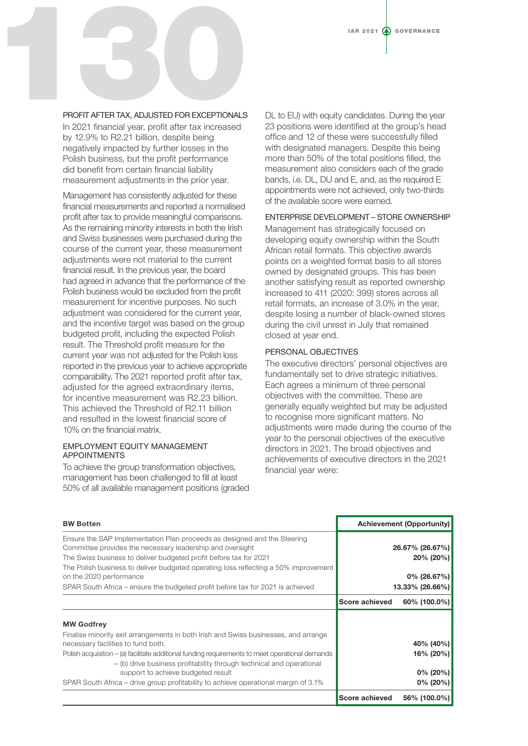# PROFIT AFTER TAX, ADJUSTED FOR EXCEPTIONALS PROFIT AFTER TAX, ADJUSTED FOR EXCEPTIONALS

In 2021 financial year, profit after tax increased by 12.9% to R2.21 billion, despite being negatively impacted by further losses in the Polish business, but the profit performance did benefit from certain financial liability measurement adjustments in the prior year.

Management has consistently adjusted for these financial measurements and reported a normalised profit after tax to provide meaningful comparisons. As the remaining minority interests in both the Irish and Swiss businesses were purchased during the course of the current year, these measurement adjustments were not material to the current financial result. In the previous year, the board had agreed in advance that the performance of the Polish business would be excluded from the profit measurement for incentive purposes. No such adjustment was considered for the current year, and the incentive target was based on the group budgeted profit, including the expected Polish result. The Threshold profit measure for the current year was not adjusted for the Polish loss reported in the previous year to achieve appropriate comparability. The 2021 reported profit after tax, adjusted for the agreed extraordinary items, for incentive measurement was R2.23 billion. This achieved the Threshold of R2.11 billion and resulted in the lowest financial score of 10% on the financial matrix.

#### EMPLOYMENT EQUITY MANAGEMENT APPOINTMENTS

To achieve the group transformation objectives, management has been challenged to fill at least 50% of all available management positions (graded

DL to EU) with equity candidates. During the year 23 positions were identified at the group's head office and 12 of these were successfully filled with designated managers. Despite this being more than 50% of the total positions filled, the measurement also considers each of the grade bands, i.e. DL, DU and E, and, as the required E appointments were not achieved, only two-thirds of the available score were earned.

#### ENTERPRISE DEVELOPMENT – STORE OWNERSHIP

Management has strategically focused on developing equity ownership within the South African retail formats. This objective awards points on a weighted format basis to all stores owned by designated groups. This has been another satisfying result as reported ownership increased to 411 (2020: 399) stores across all retail formats, an increase of 3.0% in the year, despite losing a number of black-owned stores during the civil unrest in July that remained closed at year end.

### PERSONAL OBJECTIVES

The executive directors' personal objectives are fundamentally set to drive strategic initiatives. Each agrees a minimum of three personal objectives with the committee. These are generally equally weighted but may be adjusted to recognise more significant matters. No adjustments were made during the course of the year to the personal objectives of the executive directors in 2021. The broad objectives and achievements of executive directors in the 2021 financial year were:

| <b>BW Botten</b>                                                                                                                                                                                                                                                                                                                                                                                                                                       |                | <b>Achievement (Opportunity)</b>                     |
|--------------------------------------------------------------------------------------------------------------------------------------------------------------------------------------------------------------------------------------------------------------------------------------------------------------------------------------------------------------------------------------------------------------------------------------------------------|----------------|------------------------------------------------------|
| Ensure the SAP Implementation Plan proceeds as designed and the Steering<br>Committee provides the necessary leadership and oversight<br>The Swiss business to deliver budgeted profit before tax for 2021<br>The Polish business to deliver budgeted operating loss reflecting a 50% improvement                                                                                                                                                      |                | 26.67% (26.67%)<br>20% (20%)                         |
| on the 2020 performance                                                                                                                                                                                                                                                                                                                                                                                                                                |                | $0\%$ (26.67%)                                       |
| SPAR South Africa – ensure the budgeted profit before tax for 2021 is achieved                                                                                                                                                                                                                                                                                                                                                                         |                | 13.33% (26.66%)                                      |
|                                                                                                                                                                                                                                                                                                                                                                                                                                                        | Score achieved | 60% (100.0%)                                         |
| <b>MW Godfrey</b><br>Finalise minority exit arrangements in both Irish and Swiss businesses, and arrange<br>necessary facilities to fund both.<br>Polish acquisition – (a) facilitate additional funding requirements to meet operational demands<br>- (b) drive business profitability through technical and operational<br>support to achieve budgeted result<br>SPAR South Africa – drive group profitability to achieve operational margin of 3.1% |                | 40% (40%)<br>16% (20%)<br>$0\%$ (20%)<br>$0\%$ (20%) |
|                                                                                                                                                                                                                                                                                                                                                                                                                                                        | Score achieved | 56% (100.0%)                                         |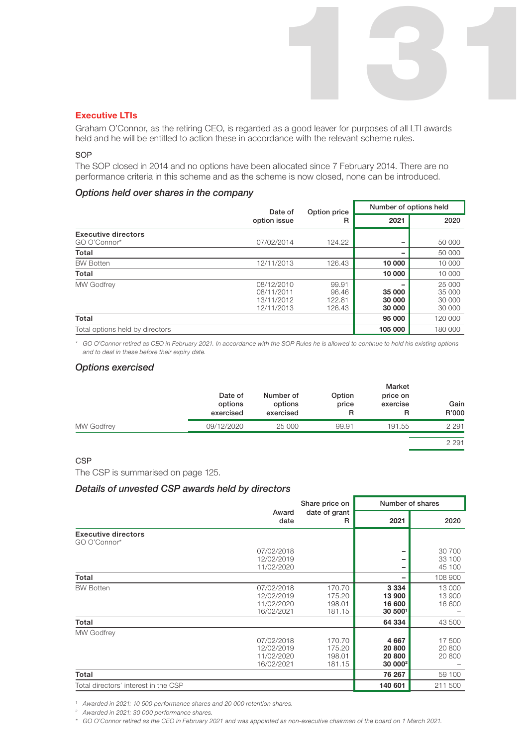#### Executive LTIs

Graham O'Connor, as the retiring CEO, is regarded as a good leaver for purposes of all LTI awards held and he will be entitled to action these in accordance with the relevant scheme rules. 131

#### **SOP**

The SOP closed in 2014 and no options have been allocated since 7 February 2014. There are no performance criteria in this scheme and as the scheme is now closed, none can be introduced.

#### *Options held over shares in the company*

|                                 | Date of                                              |                                    | Option price               | Number of options held               |  |
|---------------------------------|------------------------------------------------------|------------------------------------|----------------------------|--------------------------------------|--|
|                                 | option issue                                         | R                                  | 2021                       | 2020                                 |  |
| <b>Executive directors</b>      |                                                      |                                    |                            |                                      |  |
| GO O'Connor*                    | 07/02/2014                                           | 124.22                             |                            | 50 000                               |  |
| Total                           |                                                      |                                    |                            | 50 000                               |  |
| <b>BW Botten</b>                | 12/11/2013                                           | 126.43                             | 10 000                     | 10 000                               |  |
| Total                           |                                                      |                                    | 10 000                     | 10 000                               |  |
| <b>MW Godfrey</b>               | 08/12/2010<br>08/11/2011<br>13/11/2012<br>12/11/2013 | 99.91<br>96.46<br>122.81<br>126.43 | 35 000<br>30 000<br>30 000 | 25 000<br>35 000<br>30 000<br>30 000 |  |
| Total                           |                                                      |                                    | 95 000                     | 120 000                              |  |
| Total options held by directors |                                                      |                                    | 105 000                    | 180 000                              |  |

*\* GO O'Connor retired as CEO in February 2021. In accordance with the SOP Rules he is allowed to continue to hold his existing options and to deal in these before their expiry date.*

#### *Options exercised*

|                   | Date of<br>options<br>exercised | Number of<br>options<br>exercised | Option<br>price<br>R | Market<br>price on<br>exercise | Gain<br>R'000 |
|-------------------|---------------------------------|-----------------------------------|----------------------|--------------------------------|---------------|
| <b>MW Godfrey</b> | 09/12/2020                      | 25 000                            | 99.91                | 191.55                         | 2 2 9 1       |
|                   |                                 |                                   |                      |                                | 2 2 9 1       |

#### **CSP**

The CSP is summarised on page 125.

#### *Details of unvested CSP awards held by directors*

|                                            |                                                      | Share price on                       | Number of shares                                   |                            |
|--------------------------------------------|------------------------------------------------------|--------------------------------------|----------------------------------------------------|----------------------------|
|                                            | Award<br>date                                        | date of grant<br>R                   | 2021                                               | 2020                       |
| <b>Executive directors</b><br>GO O'Connor* |                                                      |                                      |                                                    |                            |
|                                            | 07/02/2018<br>12/02/2019<br>11/02/2020               |                                      |                                                    | 30 700<br>33 100<br>45 100 |
| Total                                      |                                                      |                                      |                                                    | 108 900                    |
| <b>BW Botten</b>                           | 07/02/2018<br>12/02/2019<br>11/02/2020<br>16/02/2021 | 170.70<br>175.20<br>198.01<br>181.15 | 3 3 3 4<br>13 900<br>16 600<br>30 5001             | 13 000<br>13 900<br>16 600 |
| Total                                      |                                                      |                                      | 64 334                                             | 43 500                     |
| <b>MW Godfrey</b>                          | 07/02/2018<br>12/02/2019<br>11/02/2020<br>16/02/2021 | 170.70<br>175.20<br>198.01<br>181.15 | 4 6 6 7<br>20 800<br>20 800<br>30 000 <sup>2</sup> | 17 500<br>20 800<br>20 800 |
| Total                                      |                                                      |                                      | 76 267                                             | 59 100                     |
| Total directors' interest in the CSP       |                                                      |                                      | 140 601                                            | 211 500                    |

*<sup>1</sup> Awarded in 2021: 10 500 performance shares and 20 000 retention shares.*

*<sup>2</sup> Awarded in 2021: 30 000 performance shares.*

*\* GO O'Connor retired as the CEO in February 2021 and was appointed as non-executive chairman of the board on 1 March 2021.*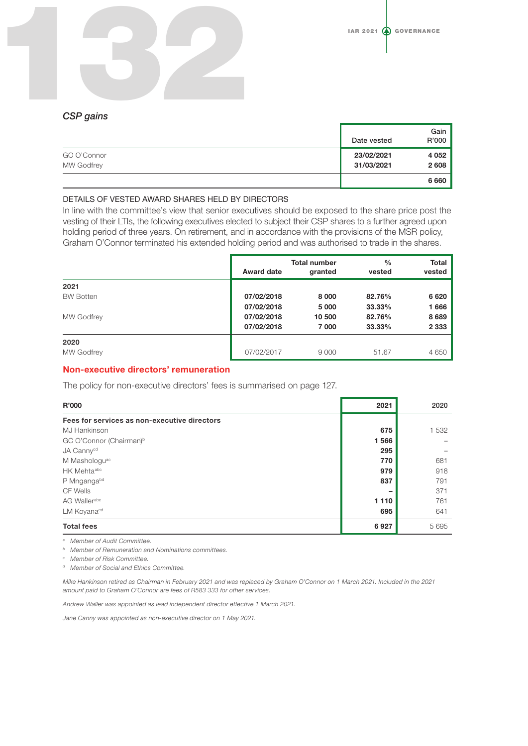# *CSP gains* 132

|                   | Date vested | Gain<br>R'000 |
|-------------------|-------------|---------------|
| GO O'Connor       | 23/02/2021  | 4 0 5 2       |
| <b>MW Godfrey</b> | 31/03/2021  | 2608          |
|                   |             | 6 6 6 0       |

#### DETAILS OF VESTED AWARD SHARES HELD BY DIRECTORS

In line with the committee's view that senior executives should be exposed to the share price post the vesting of their LTIs, the following executives elected to subject their CSP shares to a further agreed upon holding period of three years. On retirement, and in accordance with the provisions of the MSR policy, Graham O'Connor terminated his extended holding period and was authorised to trade in the shares.

|                   | Award date | <b>Total number</b><br>granted | $\frac{0}{0}$<br>vested | <b>Total</b><br>vested |
|-------------------|------------|--------------------------------|-------------------------|------------------------|
| 2021              |            |                                |                         |                        |
| <b>BW Botten</b>  | 07/02/2018 | 8 0 0 0                        | 82.76%                  | 6620                   |
|                   | 07/02/2018 | 5 0 0 0                        | 33.33%                  | 1666                   |
| <b>MW Godfrey</b> | 07/02/2018 | 10 500                         | 82.76%                  | 8689                   |
|                   | 07/02/2018 | 7 000                          | 33.33%                  | 2 3 3 3                |
| 2020              |            |                                |                         |                        |
| <b>MW Godfrey</b> | 07/02/2017 | 9 0 0 0                        | 51.67                   | 4 6 5 0                |

#### Non-executive directors' remuneration

The policy for non-executive directors' fees is summarised on page 127.

| R'000                                        | 2021    | 2020    |
|----------------------------------------------|---------|---------|
| Fees for services as non-executive directors |         |         |
| <b>MJ Hankinson</b>                          | 675     | 1 5 3 2 |
| GC O'Connor (Chairman) <sup>b</sup>          | 1566    |         |
| JA Cannycd                                   | 295     |         |
| M Mashologu <sup>ac</sup>                    | 770     | 681     |
| HK Mehtaabc                                  | 979     | 918     |
| P Mngangabd                                  | 837     | 791     |
| CF Wells                                     |         | 371     |
| AG Wallerabc                                 | 1 1 1 0 | 761     |
| LM Koyana <sup>cd</sup>                      | 695     | 641     |
| <b>Total fees</b>                            | 6927    | 5695    |

*<sup>a</sup> Member of Audit Committee.*

*<sup>b</sup> Member of Remuneration and Nominations committees.* 

*<sup>c</sup> Member of Risk Committee.*

*<sup>d</sup> Member of Social and Ethics Committee.*

*Mike Hankinson retired as Chairman in February 2021 and was replaced by Graham O'Connor on 1 March 2021. Included in the 2021 amount paid to Graham O'Connor are fees of R583 333 for other services.*

*Andrew Waller was appointed as lead independent director effective 1 March 2021.*

*Jane Canny was appointed as non-executive director on 1 May 2021.*